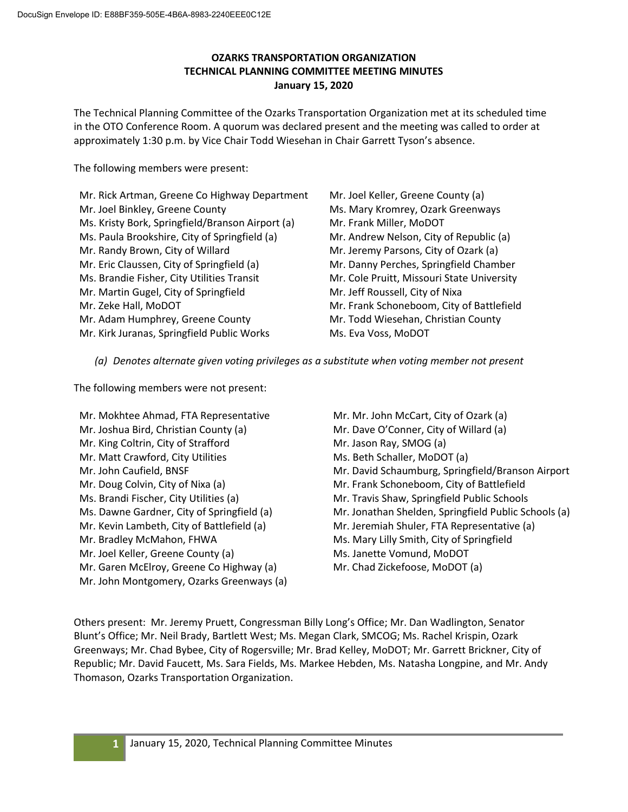# **OZARKS TRANSPORTATION ORGANIZATION TECHNICAL PLANNING COMMITTEE MEETING MINUTES January 15, 2020**

The Technical Planning Committee of the Ozarks Transportation Organization met at its scheduled time in the OTO Conference Room. A quorum was declared present and the meeting was called to order at approximately 1:30 p.m. by Vice Chair Todd Wiesehan in Chair Garrett Tyson's absence.

The following members were present:

Mr. Rick Artman, Greene Co Highway Department Mr. Joel Binkley, Greene County Ms. Kristy Bork, Springfield/Branson Airport (a) Ms. Paula Brookshire, City of Springfield (a) Mr. Randy Brown, City of Willard Mr. Eric Claussen, City of Springfield (a) Ms. Brandie Fisher, City Utilities Transit Mr. Martin Gugel, City of Springfield Mr. Zeke Hall, MoDOT Mr. Adam Humphrey, Greene County Mr. Kirk Juranas, Springfield Public Works

Mr. Joel Keller, Greene County (a) Ms. Mary Kromrey, Ozark Greenways Mr. Frank Miller, MoDOT Mr. Andrew Nelson, City of Republic (a) Mr. Jeremy Parsons, City of Ozark (a) Mr. Danny Perches, Springfield Chamber Mr. Cole Pruitt, Missouri State University Mr. Jeff Roussell, City of Nixa Mr. Frank Schoneboom, City of Battlefield Mr. Todd Wiesehan, Christian County Ms. Eva Voss, MoDOT

*(a) Denotes alternate given voting privileges as a substitute when voting member not present*

The following members were not present:

Mr. Mokhtee Ahmad, FTA Representative Mr. Joshua Bird, Christian County (a) Mr. King Coltrin, City of Strafford Mr. Matt Crawford, City Utilities Mr. John Caufield, BNSF Mr. Doug Colvin, City of Nixa (a) Ms. Brandi Fischer, City Utilities (a) Ms. Dawne Gardner, City of Springfield (a) Mr. Kevin Lambeth, City of Battlefield (a) Mr. Bradley McMahon, FHWA Mr. Joel Keller, Greene County (a) Mr. Garen McElroy, Greene Co Highway (a) Mr. John Montgomery, Ozarks Greenways (a) Mr. Mr. John McCart, City of Ozark (a) Mr. Dave O'Conner, City of Willard (a) Mr. Jason Ray, SMOG (a) Ms. Beth Schaller, MoDOT (a) Mr. David Schaumburg, Springfield/Branson Airport Mr. Frank Schoneboom, City of Battlefield Mr. Travis Shaw, Springfield Public Schools Mr. Jonathan Shelden, Springfield Public Schools (a) Mr. Jeremiah Shuler, FTA Representative (a) Ms. Mary Lilly Smith, City of Springfield Ms. Janette Vomund, MoDOT Mr. Chad Zickefoose, MoDOT (a)

Others present: Mr. Jeremy Pruett, Congressman Billy Long's Office; Mr. Dan Wadlington, Senator Blunt's Office; Mr. Neil Brady, Bartlett West; Ms. Megan Clark, SMCOG; Ms. Rachel Krispin, Ozark Greenways; Mr. Chad Bybee, City of Rogersville; Mr. Brad Kelley, MoDOT; Mr. Garrett Brickner, City of Republic; Mr. David Faucett, Ms. Sara Fields, Ms. Markee Hebden, Ms. Natasha Longpine, and Mr. Andy Thomason, Ozarks Transportation Organization.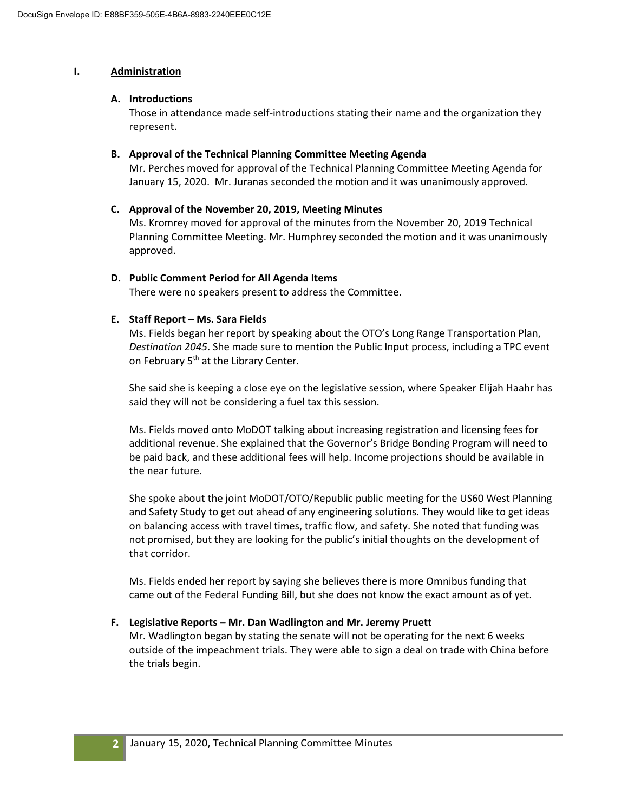## **I. Administration**

## **A. Introductions**

Those in attendance made self-introductions stating their name and the organization they represent.

## **B. Approval of the Technical Planning Committee Meeting Agenda**

Mr. Perches moved for approval of the Technical Planning Committee Meeting Agenda for January 15, 2020. Mr. Juranas seconded the motion and it was unanimously approved.

## **C. Approval of the November 20, 2019, Meeting Minutes**

Ms. Kromrey moved for approval of the minutes from the November 20, 2019 Technical Planning Committee Meeting. Mr. Humphrey seconded the motion and it was unanimously approved.

## **D. Public Comment Period for All Agenda Items**

There were no speakers present to address the Committee.

## **E. Staff Report – Ms. Sara Fields**

Ms. Fields began her report by speaking about the OTO's Long Range Transportation Plan, *Destination 2045*. She made sure to mention the Public Input process, including a TPC event on February 5<sup>th</sup> at the Library Center.

She said she is keeping a close eye on the legislative session, where Speaker Elijah Haahr has said they will not be considering a fuel tax this session.

Ms. Fields moved onto MoDOT talking about increasing registration and licensing fees for additional revenue. She explained that the Governor's Bridge Bonding Program will need to be paid back, and these additional fees will help. Income projections should be available in the near future.

She spoke about the joint MoDOT/OTO/Republic public meeting for the US60 West Planning and Safety Study to get out ahead of any engineering solutions. They would like to get ideas on balancing access with travel times, traffic flow, and safety. She noted that funding was not promised, but they are looking for the public's initial thoughts on the development of that corridor.

Ms. Fields ended her report by saying she believes there is more Omnibus funding that came out of the Federal Funding Bill, but she does not know the exact amount as of yet.

# **F. Legislative Reports – Mr. Dan Wadlington and Mr. Jeremy Pruett**

Mr. Wadlington began by stating the senate will not be operating for the next 6 weeks outside of the impeachment trials. They were able to sign a deal on trade with China before the trials begin.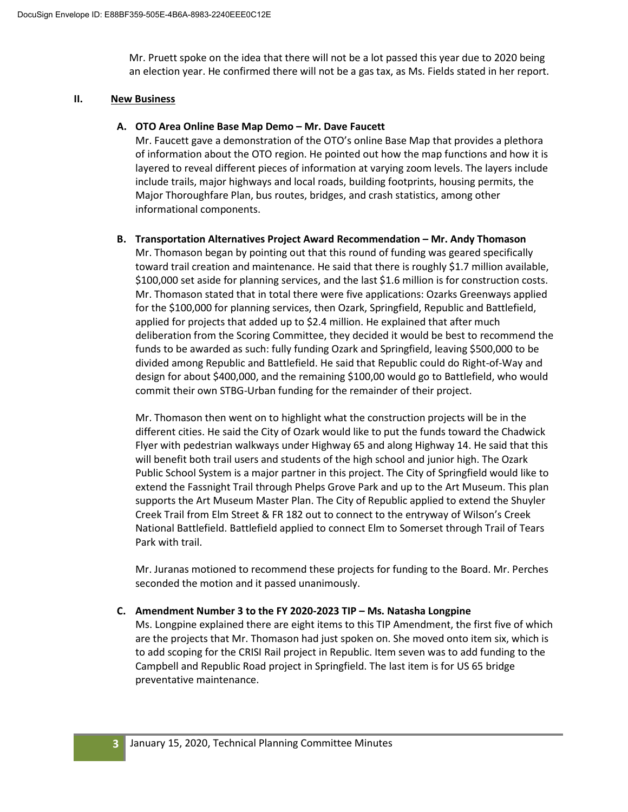Mr. Pruett spoke on the idea that there will not be a lot passed this year due to 2020 being an election year. He confirmed there will not be a gas tax, as Ms. Fields stated in her report.

### **II. New Business**

## **A. OTO Area Online Base Map Demo – Mr. Dave Faucett**

Mr. Faucett gave a demonstration of the OTO's online Base Map that provides a plethora of information about the OTO region. He pointed out how the map functions and how it is layered to reveal different pieces of information at varying zoom levels. The layers include include trails, major highways and local roads, building footprints, housing permits, the Major Thoroughfare Plan, bus routes, bridges, and crash statistics, among other informational components.

#### **B. Transportation Alternatives Project Award Recommendation – Mr. Andy Thomason**

Mr. Thomason began by pointing out that this round of funding was geared specifically toward trail creation and maintenance. He said that there is roughly \$1.7 million available, \$100,000 set aside for planning services, and the last \$1.6 million is for construction costs. Mr. Thomason stated that in total there were five applications: Ozarks Greenways applied for the \$100,000 for planning services, then Ozark, Springfield, Republic and Battlefield, applied for projects that added up to \$2.4 million. He explained that after much deliberation from the Scoring Committee, they decided it would be best to recommend the funds to be awarded as such: fully funding Ozark and Springfield, leaving \$500,000 to be divided among Republic and Battlefield. He said that Republic could do Right-of-Way and design for about \$400,000, and the remaining \$100,00 would go to Battlefield, who would commit their own STBG-Urban funding for the remainder of their project.

Mr. Thomason then went on to highlight what the construction projects will be in the different cities. He said the City of Ozark would like to put the funds toward the Chadwick Flyer with pedestrian walkways under Highway 65 and along Highway 14. He said that this will benefit both trail users and students of the high school and junior high. The Ozark Public School System is a major partner in this project. The City of Springfield would like to extend the Fassnight Trail through Phelps Grove Park and up to the Art Museum. This plan supports the Art Museum Master Plan. The City of Republic applied to extend the Shuyler Creek Trail from Elm Street & FR 182 out to connect to the entryway of Wilson's Creek National Battlefield. Battlefield applied to connect Elm to Somerset through Trail of Tears Park with trail.

Mr. Juranas motioned to recommend these projects for funding to the Board. Mr. Perches seconded the motion and it passed unanimously.

## **C. Amendment Number 3 to the FY 2020-2023 TIP – Ms. Natasha Longpine**

Ms. Longpine explained there are eight items to this TIP Amendment, the first five of which are the projects that Mr. Thomason had just spoken on. She moved onto item six, which is to add scoping for the CRISI Rail project in Republic. Item seven was to add funding to the Campbell and Republic Road project in Springfield. The last item is for US 65 bridge preventative maintenance.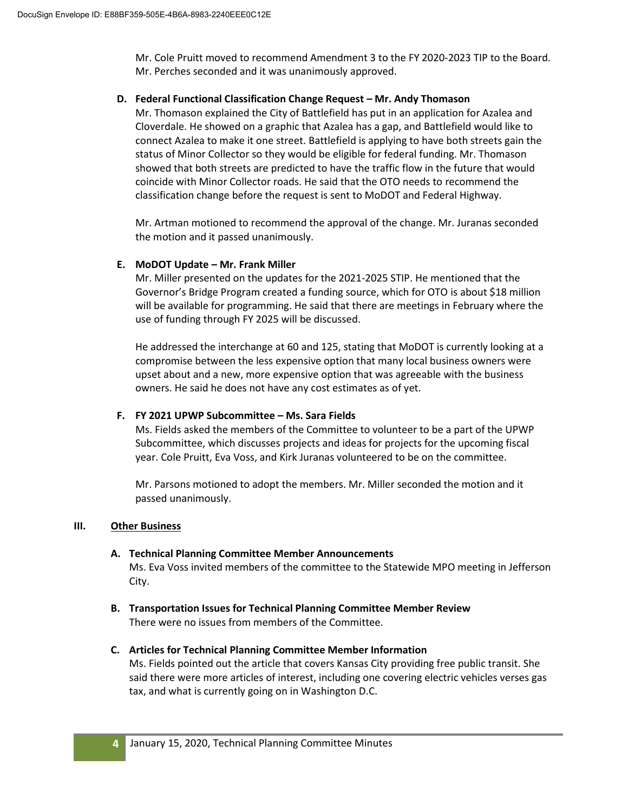Mr. Cole Pruitt moved to recommend Amendment 3 to the FY 2020-2023 TIP to the Board. Mr. Perches seconded and it was unanimously approved.

## **D. Federal Functional Classification Change Request – Mr. Andy Thomason**

Mr. Thomason explained the City of Battlefield has put in an application for Azalea and Cloverdale. He showed on a graphic that Azalea has a gap, and Battlefield would like to connect Azalea to make it one street. Battlefield is applying to have both streets gain the status of Minor Collector so they would be eligible for federal funding. Mr. Thomason showed that both streets are predicted to have the traffic flow in the future that would coincide with Minor Collector roads. He said that the OTO needs to recommend the classification change before the request is sent to MoDOT and Federal Highway.

Mr. Artman motioned to recommend the approval of the change. Mr. Juranas seconded the motion and it passed unanimously.

## **E. MoDOT Update – Mr. Frank Miller**

Mr. Miller presented on the updates for the 2021-2025 STIP. He mentioned that the Governor's Bridge Program created a funding source, which for OTO is about \$18 million will be available for programming. He said that there are meetings in February where the use of funding through FY 2025 will be discussed.

He addressed the interchange at 60 and 125, stating that MoDOT is currently looking at a compromise between the less expensive option that many local business owners were upset about and a new, more expensive option that was agreeable with the business owners. He said he does not have any cost estimates as of yet.

## **F. FY 2021 UPWP Subcommittee – Ms. Sara Fields**

Ms. Fields asked the members of the Committee to volunteer to be a part of the UPWP Subcommittee, which discusses projects and ideas for projects for the upcoming fiscal year. Cole Pruitt, Eva Voss, and Kirk Juranas volunteered to be on the committee.

Mr. Parsons motioned to adopt the members. Mr. Miller seconded the motion and it passed unanimously.

## **III. Other Business**

## **A. Technical Planning Committee Member Announcements**

Ms. Eva Voss invited members of the committee to the Statewide MPO meeting in Jefferson City.

**B. Transportation Issues for Technical Planning Committee Member Review** There were no issues from members of the Committee.

## **C. Articles for Technical Planning Committee Member Information**

Ms. Fields pointed out the article that covers Kansas City providing free public transit. She said there were more articles of interest, including one covering electric vehicles verses gas tax, and what is currently going on in Washington D.C.